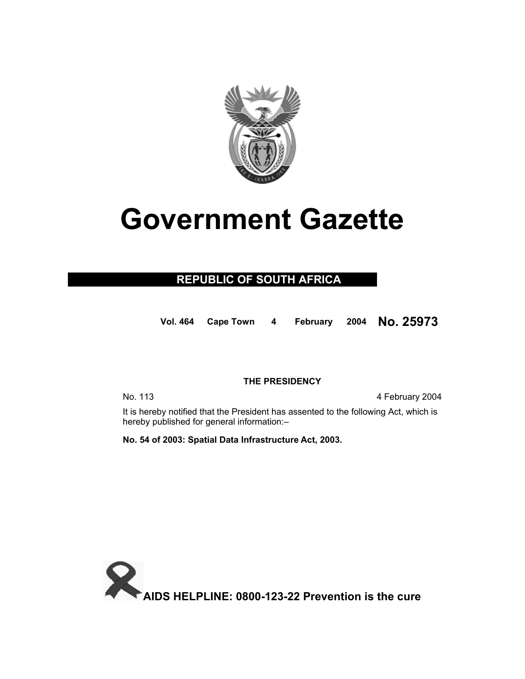

# **Government Gazette**

### **REPUBLIC OF SOUTH AFRICA**

**Vol. 464 Cape Town 4 February 2004 No. 25973**

### **THE PRESIDENCY**

No. 113 4 February 2004

 It is hereby notified that the President has assented to the following Act, which is hereby published for general information:–

**No. 54 of 2003: Spatial Data Infrastructure Act, 2003.** 

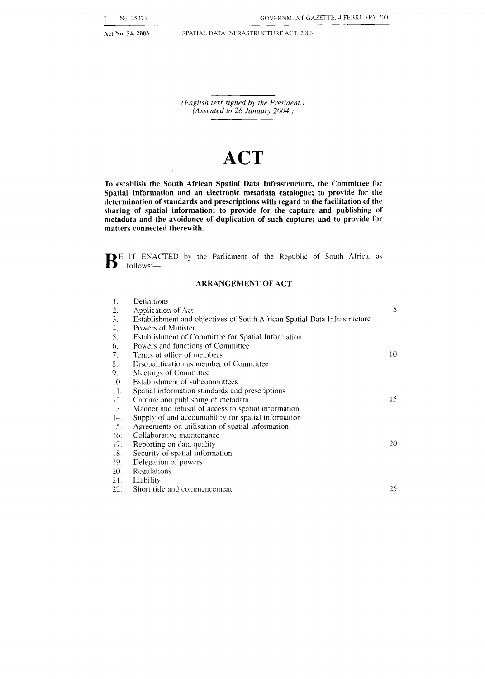Act No. 54, 2003 **SPATIAL DATA INFRASTRUCTURE ACT. 2003** 

*(English text signed by the President.) (Assented to 28 January 2004.)* 

## **ACT**

**To** establish the South African Spatial Data Infrastructure, the Committee for Spatial Information and an electronic metadata catalogue; to provide for the determination of standards and prescriptions with regard to the facilitation of the sharing of spatial information; to provide for the capture and publishing of metadata and the avoidance **of** duplication of such capture; and to provide for matters connected therewith.

**B** E IT ENACTED by the Parliament of the Republic of South Africa. as follows:-

### **ARRANGEMENT OF ACT**

| 1.  | Definitions                                                               |    |
|-----|---------------------------------------------------------------------------|----|
| 2.  | Application of Act                                                        | 5  |
| 3.  | Establishment and objectives of South African Spatial Data Infrastructure |    |
| 4.  | Powers of Minister                                                        |    |
| 5.  | Establishment of Committee for Spatial Information                        |    |
| 6.  | Powers and functions of Committee                                         |    |
| 7.  | Terms of office of members                                                | 10 |
| 8.  | Disqualification as member of Committee                                   |    |
| 9.  | Meetings of Committee                                                     |    |
| 10. | Establishment of subcommittees                                            |    |
| 11. | Spatial information standards and prescriptions                           |    |
| 12. | Capture and publishing of metadata                                        | 15 |
| 13. | Manner and refusal of access to spatial information                       |    |
| 14. | Supply of and accountability for spatial information                      |    |
| 15. | Agreements on utilisation of spatial information                          |    |
| 16. | Collaborative maintenance                                                 |    |
| 17. | Reporting on data quality                                                 | 20 |
| 18. | Security of spatial information                                           |    |
| 19. | Delegation of powers                                                      |    |
| 20. | Regulations                                                               |    |
| 21. | Liability                                                                 |    |
| 22. | Short title and commencement                                              | 25 |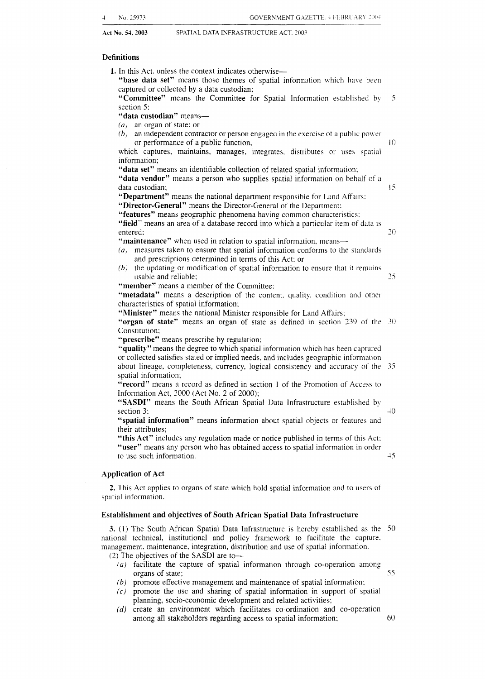### **Definitions**

**1.** In this Act, unless the context indicates otherwise-

"base data set" means those themes of spatial information which have been captured or collected by a data custodian;

**"Committee"** means the Committee for Spatial Information established by 5 section *5:* 

**"data custodian"** means-

*(a)* an organ of state: or

*(b)* an independent contractor or person engaged in the exercise of a public power or performance of a public function,  $10$ 

which captures, maintains, manages, integrates, distributes or uses spatial information;

**"data set"** means an identifiable collection of related spatial information:

**"data vendor"** means a person who supplies spatial information on behalf of a data custodian; 15

**"Department"** means the national department responsible for Land Affairs: **"Director-General"** means the Director-General of the Department:

**"features"** means geographic phenomena having common characteristics: **"field"** means an area of a database record into which a particular item of data is entered: *20* 

"maintenance" when used in relation to spatial information, means-

- *(a)* measures taken to ensure that spatial information conforms to the standards and prescriptions determined in terms of this Act: or
- *(b)* the updating or modification of spatial information to ensure that it remains usable and reliable; 25

**"member"** means a member of the Committee;

"metadata" means a description of the content. quality. condition and other characteristics of spatial information:

**"Minister"** means the national Minister responsible for Land Affairs:

**"organ of state"** means an organ of state as defined in section 2.39 of the *30*  Constitution:

**"prescribe"** means prescribe by regulation:

**"quality"** means the degree to which spatial information which has been captured or collected satisfies stated or implied needs, and includes geographic information about lineage, completeness, currency. logical consistency and accuracy of the 35 spatial information;

**"record"** means a record as defined in section 1 of the Promotion of Access to Information Act, 2000 (Act No. *2* of 2000):

"SASDI" means the South African Spatial Data Infrastructure established by section 3:  $40$ 

**''spatial information"** means information about spatial objects or features and their attributes;

**"this Act"** includes any regulation made or notice published in terms of this Act: **"user"** means any person who has obtained access to spatial information in order to use such information. 45

### **Application of Act**

**2.** This Act applies to organs of state which hold spatial information and to users of spatial information.

### **Establishment and objectives of South African Spatial Data Infrastructure**

**3.** (1) The South African Spatial Data Infrastructure is hereby established as the SO national technical, institutional and policy framework to facilitate the capture. management, maintenance, integration, distribution and use of spatial information. (2) The objectives of the SASDI are to-

- *(a)* facilitate the capture of spatial information through co-operation among organs of state; *55*
- *(b)* promote effective management and maintenance of spatial information:
- (c) promote the use and sharing of spatial information in support of spatial planning, socio-economic development and related activities;
- *(d)* create an environment which facilitates co-ordination and co-operation among all stakeholders regarding access to spatial information: 60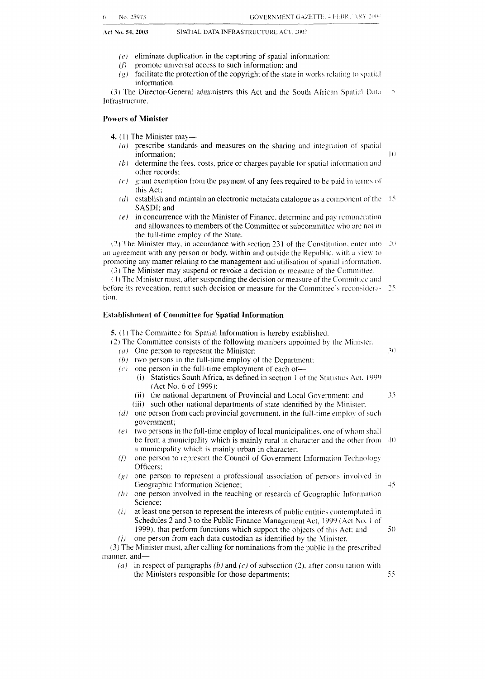- $(e)$  eliminate duplication in the capturing of spatial information:
- $(f)$  promote universal access to such information; and
- (g) facilitate the protection of the copyright of the state in works relating to spatial information.

*(3)* The Director-General administers this Act and the South African Spatial Data 5 Infrastructure.

### **Powers of Minister**

**4.** (1) The Minister may—

- $(a)$  prescribe standards and measures on the sharing and integration of spatial information; IO
- determine the fees. costs, price or charges payable for spatial information and  $(b)$ other records;
- grant exemption from the payment of any fees required to be paid in terms of  $(c)$ this Act;
- $(d)$  establish and maintain an electronic metadata catalogue as a component of the  $15$ SASDI; and
- in concurrence with the Minister of Finance, determine and pay remuneration  $(e)$ and allowances to members of the Committee or subcommittee who are not in the full-time employ of the State.<br>(2) The Minister may, in accordance with section 231 of the Constitution, enter into  $20$

an agreement with any person or body, within and outside the Republic. with a view to promoting any matter relating to the management and utilisation of spatial information.

(3) The Minister may suspend or revoke a decision or measure of the Committee.

(4) The Minister must, after suspending the decision or measure of the Committee and before its revocation, remit such decision or measure for the Committee's reconsidera- 25 tion.

### **Establishment of Committee for Spatial Information**

**5.** (1) The Committee for Spatial Information is hereby established.

(2) The Committee consists of the following members appointed by the Minister:

- (a) One person to represent the Minister;  $30 \div 30$
- $(b)$  two persons in the full-time employ of the Department:
- $(c)$  one person in the full-time employment of each of-
	- (i) Statistics South Africa, as defined in section 1 of the Statistics Act. 1999 (Act No. *6* of 1999):
	- (ii) the national department of Provincial and Local Government: and

*7-* 

- (iii) such other national departments of state identified by the Minister:
- ( $d$ ) one person from each provincial government, in the full-time employ of such government;
- $(e)$  two persons in the full-time employ of local municipalities. one of whom shall be from a municipality which is mainly rural in character and the other from  $\approx 40$ a municipality which is mainly urban in character:
- $(f)$ one person to represent the Council of Government Information Technology Officers;
- $(g)$  one person to represent a professional association of persons involved in Geographic Information Science; 15 and 15 and 15 and 15 and 15 and 15 and 15 and 15 and 15 and 15 and 15 and 15 and 15 and 15 and 15 and 15 and 15 and 15 and 15 and 15 and 15 and 15 and 15 and 16 and 16 and 16 and 16 and 1
- $(h)$  one person involved in the teaching or research of Geographic Information Science:
- $(i)$ at least one person to represent the interests of public entities contemplated in Schedules 2 and 3 to the Public Finance Management Act, 1999 (Act No. I of 1999), that perform functions which support the objects of this Act; and  $50$  $(i)$  one person from each data custodian as identified by the Minister.

(3) The Minister must, after calling for nominations from the public in the prescribed manner. and-

(a) in respect of paragraphs (b) and  $(c)$  of subsection (2), after consultation with the Ministers responsible for those departments; 55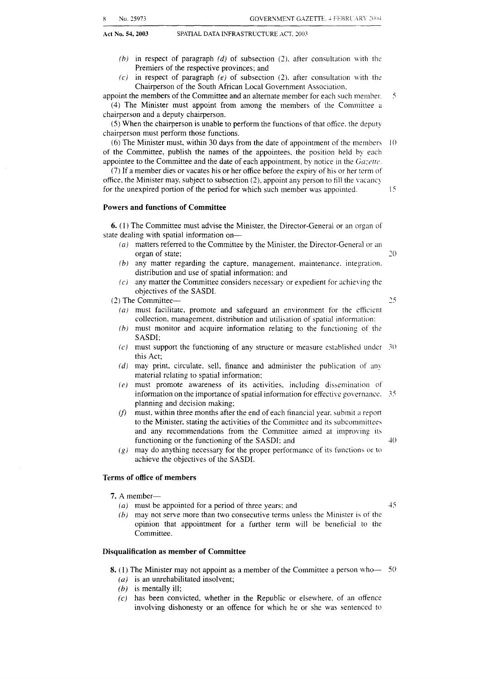**Act No. 54.2003** SPATIAL DATA INFRASTRUCTURE ACT. 2003

- Premiers of the respective provinces; and
- $(c)$  in respect of paragraph  $(e)$  of subsection  $(2)$ , after consultation with the Chairperson of the South African Local Government Association,

appoint the members of the Committee and an alternate member for each such member.  $\tilde{\mathcal{L}}$ (4) The Minister must appoint from among the members of the Committee *u* 

chairperson and a deputy chairperson. *(5)* When the chairperson is unable to perform the functions of that ofice. the deputy chairperson must perform those functions.

(6) The Minister must, within 30 days from the date of appointment of the members  $\pm 10$ of the Committee, publish the names of the appointees. the position held by each appointee to the Committee and the date of each appointment, by notice in the *Gazette*.

**(7)** If a member dies or vacates his or her office before the expiry of his or her term of office, the Minister may, subject to subsection (2), appoint any person to fill the vacancy for the unexpired portion of the period for which such member was appointed.

### **Powers and functions of Committee**

**6.** (1) The Committee must advise the Minister. the Director-General or an organ of state dealing with spatial information on-

- $(a)$  matters referred to the Committee by the Minister, the Director-General or an organ of state;
- *(b)* any matter regarding the capture, management. maintenance. integration. distribution and use of spatial information: and
- *IC*) any matter the Committee considers necessary or expedient for achieving the objectives of the SASDI.

(2) The Committee-

 $25$ 

 $45$ 

 $20$ 

 $15$ 

- *(a)* must facilitate, promote and safeguard an environment for the efficient collection, management. distribution and utilisation of spatial information:
- *ih)* must monitor and acquire information relating to the functioning of the SASDI:
- *(c)* must support the functioning of any structure or measure established under this Act;
- *(d)* may print, circulate, sell, finance and administer the publication of any material relating to spatial information;
- *(e)* must promote awareness of its activities, including dissemination of information on the importance of spatial information for effective governance.  $35$ planning and decision making;
- *(f)* must, within three months after the end of each financial year. submit a report to the Minister, stating the activities of the Committee and its subcommittees and any recommendations from the Committee aimed at improving its  $\downarrow$ () functioning or the functioning of the SASDI: and
- *(g)* may do anything necessary for the proper performance of its functions or **to**  achieve the objectives of the SASDI.

### **Terms of office of members**

- 7. A member-
	- *(a)* must be appointed for a period of three years: and
	- *(bj* may not serve more than two consecutive terms unless the Minister is of the opinion that appointment for a further term will be beneficial to the Committee.

### **Disqualification as member of Committee**

- **8.** (1) The Minister may not appoint as a member of the Committee a person who- $50$ 
	- *(a)* is an unrehabilitated insolvent;
	- *(b)* is mentally ill;
	- *(c)* has been convicted, whether in the Republic or elsewhere. of an offence involving dishonesty or an offence for which he or she was sentenced to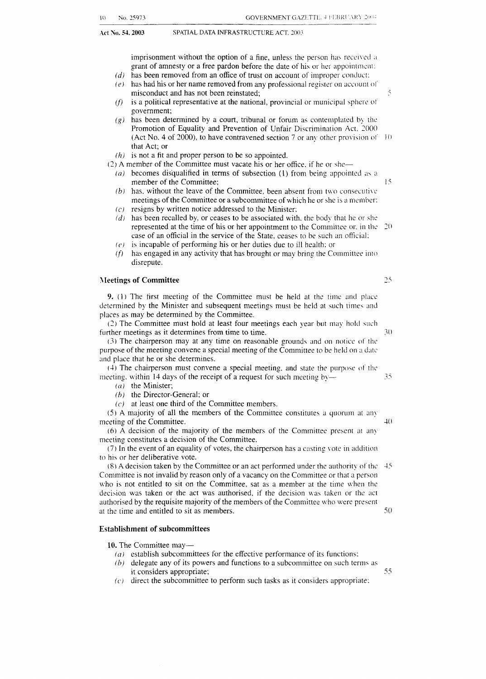imprisonment without the option of a fine, unless the person has received a grant of amnesty or a free pardon before the date of his or her appointment:

**GOVERNMENT GAZETTE, 4 FEBRUARY 2004** 

- $(d)$  has been removed from an office of trust on account of improper conduct:
- $(e)$  has had his or her name removed from any professional register on account of misconduct and has not been reinstated;  $\frac{5}{2}$
- $(f)$ is a political representative at the national, provincial or municipal sphere of government;
- $(g)$  has been determined by a court, tribunal or forum as contemplated by the Promotion of Equality and Prevention of Unfair Discrimination Act. 2000 (Act No. 4 of 2000), to have contravened section 7 or any other provision of  $10$ that Act; or
- $(h)$  is not a fit and proper person to be so appointed.
- *(7)* **A** member of the Committee must vacate his or her office. if he or she-
	- $(a)$  becomes disqualified in terms of subsection (1) from being appointed as a member of the Committee;
	- $(b)$  has, without the leave of the Committee, been absent from two consecutive meetings of the Committee or a subcommittee of which he or she is a member: *(e)* resigns by written notice addressed to the Minister;
	- *Id)* has been recalled by, or ceases to be associated with, the body that he or she
	- represented at the time of his or her appointment to the Committee or, in the 20 case of an official in the service of the State, ceases to be such an official: */c)* is incapable of performing his or her duties due to ill health: or
	- *(f)* has engaged in any activity that has brought or may bring the Committee into disrepute.

### **IIeetings of Committee**

**9.** (1) The first meeting of the Committee must be held at the time and place determined by the Minister and subsequent meetings must be held at such times and places as may be determined by the Committee.

*(2)* The Committee must hold at least four meetings each year but may hold \uch further meetings as it determines from time to time.

*(3)* The chairperson may at any time on reasonable grounds and on notice of the purpose of the meeting convene a special meeting of the Committee to be held on a date and place that he or she determines.

 $(4)$  The chairperson must convene a special meeting, and state the purpose of the meeting, within 14 days of the receipt of a request for such meeting by-

- *(a)* the Minister;
- *(h)* the Director-General; or
- *(c)* at least one third of the Committee members.

*(5)* A majority of all the members of the Committee constitutes a quorum at an!' meeting of the Committee.  $\Delta()$ 

(6) **A** decision of the majority of the members of the Committee present ar an! meeting constitutes a decision of the Committee.

(7) In the event of an equality of votes, the chairperson has a casting vote in addition to his or her deliberative vote.

(8) **A** decision taken by the Committee or an act performed under the authority of thc Committee is not invalid by reason only of a vacancy on the Committee or that a person  $\nu$  who is not entitled to sit on the Committee, sat as a member at the time when the decision was taken or the act was authorised, if the decision was taken or the act authorised by the requisite majority of the members of the Committee who were present at the time and entitled to sit as members. 50

### **Establishment of subcommittees**

10. The Committee may-

- $(a)$  establish subcommittees for the effective performance of its functions:
- (b) delegate any of its powers and functions to a subcommittee on such terms as it considers appropriate;
- *(c)* direct the subcommittee to perform such tasks as it considers appropriate:

### $25$

 $15$ 

 $30$ 

55

35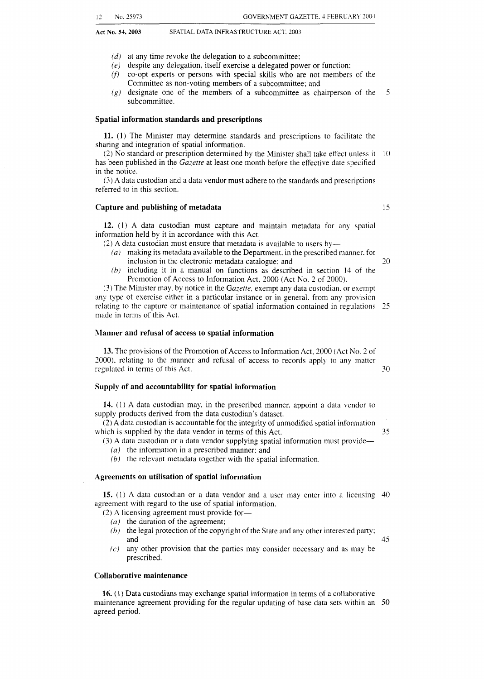**Act No. 54,2003** SPATIAL DATA INFRASTRUCTURE ACT. 2003

- 
- *(d)* at any time revoke the delegation to a subcommittee:
- *(e)* despite any delegation, itself exercise a delegated power or function:
- (f) co-opt experts or persons with special skills who are not members of the Committee as non-voting members of a subcommittee; and
- $(g)$  designate one of the members of a subcommittee as chairperson of the subcommittee. *5*

#### **Spatial information standards and prescriptions**

**11.** (1) The Minister may determine standards and prescriptions to facilitate the sharing and integration of spatial information.

(2) No standard or prescription determined by the Minister shall take effect unless it 10 has been published in the *Gazetre* at least one month before the effective date specified in the notice.

(3) A data custodian and a data vendor must adhere to the standards and prescriptions referred to in this section.

### **Capture and publishing of metadata**

**12.** (1) A data custodian must capture and maintain metadata for any spatial information held by it in accordance with this Act.

(2) A data custodian must ensure that metadata is available to users by-

- *(a)* making its metadata available to the Department. in the prescribed manner. for inclusion in the electronic metadata catalogue: and
- $(b)$  including it in a manual on functions as described in section 14 of the Promotion of Access to Information Act. 2000 (Act No. 2 of 2000).

**(3)** The Minister may. by notice in the *Gazerre,* exempt any data custodian. or exempt any type of exercise either in a particular instance or in general. from any provision relating to the capture or maintenance of spatial information contained in regulations 25 made in terms of this Act.

### **;\lanner and refusal of access to spatial information**

**13.** The provisions of the Promotion of Access to Information Act, 2000 (Act No. *1* of 2000). relating to the manner and refusal of access to records apply to any matter regulated in terms of this Act. *30* 

### **Supply of and accountability for spatial information**

**14.** (1) A data custodian may, in the prescribed manner, appoint a data vendor to supply products derived from the data custodian's dataset.

*(2)* A data custodian is accountable for the integrity of unmodified spatial information which is supplied by the data vendor in terms of this Act.

*(3)* A data custodian or a data vendor supplying spatial information must provide-*(a)* the information in a prescribed manner: and

*(h)* the relevant metadata together with the spatial information.

### **Agreements on utilisation of spatial information**

**15.** ( 1) A data custodian or a data vendor and a user may enter into a licensing 40 agreement with regard to the use of spatial information.

*(2)* A licensing agreement must provide for-

- *(a)* the duration of the agreement;
- *(b)* the legal protection of the copyright of the State and any other interested party: and 45
- *IC)* any other provision that the parties may consider necessary and as may be prescribed.

### **Collaborative maintenance**

**16.** (1) Data custodians may exchange spatial information in terms of a collaborative maintenance agreement providing for the regular updating of base data sets within an *50* agreed period.

1s

*20* 

*35*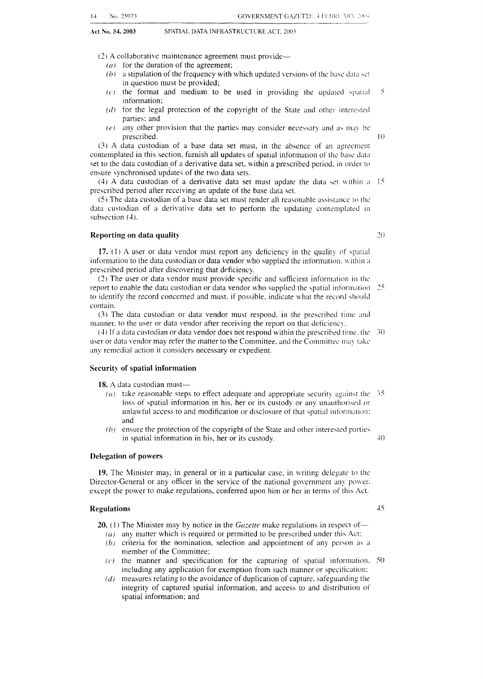*(2)* A collaborative maintenance agreement must provide-

- $(a)$  for the duration of the agreement;
- $(b)$  **a stipulation of the frequency with which updated versions of the base data set** in question must be provided;
- $(c)$  the format and medium to be used in providing the updated spatial  $5$ information;
- *(dj* for the legal protection of the copyright of the State and other interested parties: and
- $(e)$  any other provision that the parties may consider necessary and as may be prescribed. IO

*(3)* **A** data custodian of a base data set must, in the absence of an agreement contemplated in this section, furnish all updates of spatial information of the base data set to the data custodian of a derivative data set, within a prescribed period, in order to ensure synchronised updates of the two data sets.

(4) **A** data custodian of a derivative data set must update the data set \\.ithin **;I** I5 prescribed period after receiving an update of the base data set.

*(5)* The data custodian of a base data set must render all reasonable assistance to the data custodian of a derivative data set to perform the updating contemplated in subsection (4).

### **Reporting on data quality** *<i>70*

17. (1) A user or data vendor must report any deficiency in the quality of spatial information to the data custodian or data vendor who supplied the information. within a prescribed period after discovering that deficiency.

(2) The user or data vendor must provide specific and sufficient information in thc report to enable the data custodian or data vendor who supplied the spatial information 25 to identify the record concerned and must, if possible, indicate what the record should contain.

(3) The data custodian or data vendor must respond. in the prescribed time and manner, to the user or data vendor after receiving the report on that deficiency.

(4) If **;I** data custodian or data vendor does not respond within the prescribed time. the *30*  user or data vendor may refer the matter to the Committee, and the Committee may take any remedial action it considers necessary or expedient.

### **Security of spatial information**

18. A data custodian must-

- $(a)$  take reasonable steps to effect adequate and appropriate security against the  $-35$ loss of spatial information in his, her or its custody or any unauthorised or unlawful access to and modification or disclosure of that spatial information: and
- *(h)* ensure the protection of the copyright of the State and other interested parties in spatial information in his, her or its custody.  $40$

### **Delegation of powers**

**19.** The Minister may, in general or in a particular case. in writing delegate to thc Director-General or any officer in the service of the national government any power. except the power to make regulations, conferred upon him or her in terms of this Act.

#### **Regulations**

- **20.** (1) The Minister may by notice in the *Gazette* make regulations in respect of- $(a)$  any matter which is required or permitted to be prescribed under this Act:
	- $(b)$  criteria for the nomination, selection and appointment of any person as a member of the Committee;
	- $(c)$  the manner and specification for the capturing of spatial information. 50 including any application for exemption from such manner or specification:
	- *(d)* measures relating to the avoidance of duplication of capture, safeguarding the integrity of captured spatial information, and access to and distribution of spatial information; and

 $45$